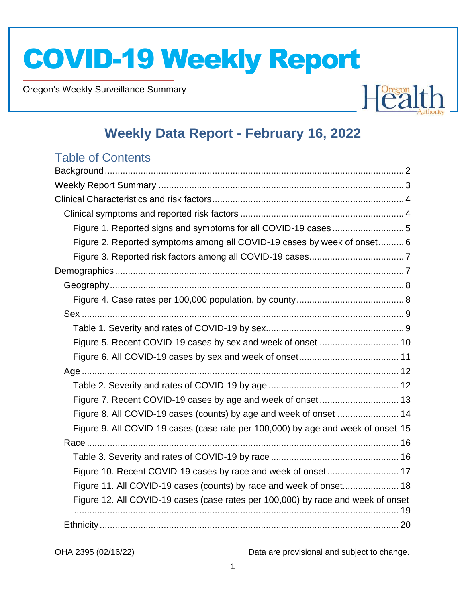Oregon's Weekly Surveillance Summary

Novel Coronavirus (COVID-19)



## **Weekly Data Report - February 16, 2022**

## Table of Contents

| Figure 1. Reported signs and symptoms for all COVID-19 cases5                    |  |
|----------------------------------------------------------------------------------|--|
| Figure 2. Reported symptoms among all COVID-19 cases by week of onset 6          |  |
|                                                                                  |  |
|                                                                                  |  |
|                                                                                  |  |
|                                                                                  |  |
|                                                                                  |  |
|                                                                                  |  |
|                                                                                  |  |
|                                                                                  |  |
|                                                                                  |  |
|                                                                                  |  |
|                                                                                  |  |
| Figure 8. All COVID-19 cases (counts) by age and week of onset  14               |  |
| Figure 9. All COVID-19 cases (case rate per 100,000) by age and week of onset 15 |  |
|                                                                                  |  |
|                                                                                  |  |
| Figure 10. Recent COVID-19 cases by race and week of onset 17                    |  |
| Figure 11. All COVID-19 cases (counts) by race and week of onset 18              |  |
| Figure 12. All COVID-19 cases (case rates per 100,000) by race and week of onset |  |
|                                                                                  |  |
|                                                                                  |  |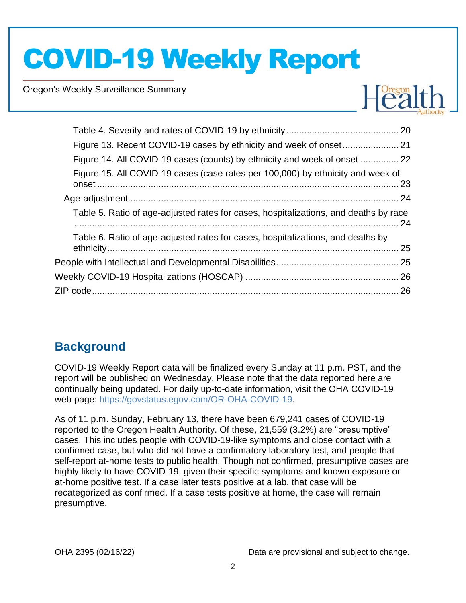Oregon's Weekly Surveillance Summary

Novel Coronavirus (COVID-19)



| Figure 14. All COVID-19 cases (counts) by ethnicity and week of onset  22            |  |
|--------------------------------------------------------------------------------------|--|
| Figure 15. All COVID-19 cases (case rates per 100,000) by ethnicity and week of      |  |
|                                                                                      |  |
| Table 5. Ratio of age-adjusted rates for cases, hospitalizations, and deaths by race |  |
| Table 6. Ratio of age-adjusted rates for cases, hospitalizations, and deaths by      |  |
|                                                                                      |  |
|                                                                                      |  |
|                                                                                      |  |
|                                                                                      |  |

## <span id="page-1-0"></span>**Background**

COVID-19 Weekly Report data will be finalized every Sunday at 11 p.m. PST, and the report will be published on Wednesday. Please note that the data reported here are continually being updated. For daily up-to-date information, visit the OHA COVID-19 web page: [https://govstatus.egov.com/OR-OHA-COVID-19.](https://govstatus.egov.com/OR-OHA-COVID-19)

As of 11 p.m. Sunday, February 13, there have been 679,241 cases of COVID-19 reported to the Oregon Health Authority. Of these, 21,559 (3.2%) are "presumptive" cases. This includes people with COVID-19-like symptoms and close contact with a confirmed case, but who did not have a confirmatory laboratory test, and people that self-report at-home tests to public health. Though not confirmed, presumptive cases are highly likely to have COVID-19, given their specific symptoms and known exposure or at-home positive test. If a case later tests positive at a lab, that case will be recategorized as confirmed. If a case tests positive at home, the case will remain presumptive.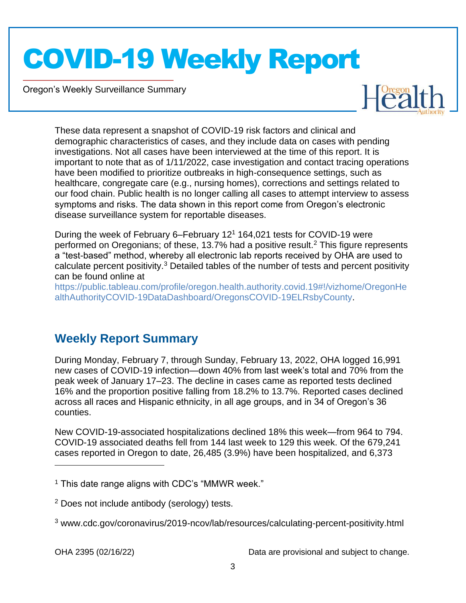Oregon's Weekly Surveillance Summary

Novel Coronavirus (COVID-19)



These data represent a snapshot of COVID-19 risk factors and clinical and demographic characteristics of cases, and they include data on cases with pending investigations. Not all cases have been interviewed at the time of this report. It is important to note that as of 1/11/2022, case investigation and contact tracing operations have been modified to prioritize outbreaks in high-consequence settings, such as healthcare, congregate care (e.g., nursing homes), corrections and settings related to our food chain. Public health is no longer calling all cases to attempt interview to assess symptoms and risks. The data shown in this report come from Oregon's electronic disease surveillance system for reportable diseases.

During the week of February 6–February 12<sup>1</sup> 164,021 tests for COVID-19 were performed on Oregonians; of these, 13.7% had a positive result.<sup>2</sup> This figure represents a "test-based" method, whereby all electronic lab reports received by OHA are used to calculate percent positivity.<sup>3</sup> Detailed tables of the number of tests and percent positivity can be found online at

[https://public.tableau.com/profile/oregon.health.authority.covid.19#!/vizhome/OregonHe](https://public.tableau.com/profile/oregon.health.authority.covid.19#!/vizhome/OregonHealthAuthorityCOVID-19DataDashboard/OregonsCOVID-19ELRsbyCounty) [althAuthorityCOVID-19DataDashboard/OregonsCOVID-19ELRsbyCounty.](https://public.tableau.com/profile/oregon.health.authority.covid.19#!/vizhome/OregonHealthAuthorityCOVID-19DataDashboard/OregonsCOVID-19ELRsbyCounty)

## <span id="page-2-0"></span>**Weekly Report Summary**

During Monday, February 7, through Sunday, February 13, 2022, OHA logged 16,991 new cases of COVID-19 infection—down 40% from last week's total and 70% from the peak week of January 17–23. The decline in cases came as reported tests declined 16% and the proportion positive falling from 18.2% to 13.7%. Reported cases declined across all races and Hispanic ethnicity, in all age groups, and in 34 of Oregon's 36 counties.

New COVID-19-associated hospitalizations declined 18% this week—from 964 to 794. COVID-19 associated deaths fell from 144 last week to 129 this week. Of the 679,241 cases reported in Oregon to date, 26,485 (3.9%) have been hospitalized, and 6,373

 $<sup>1</sup>$  This date range aligns with CDC's "MMWR week."</sup>

<sup>2</sup> Does not include antibody (serology) tests.

<sup>3</sup> www.cdc.gov/coronavirus/2019-ncov/lab/resources/calculating-percent-positivity.html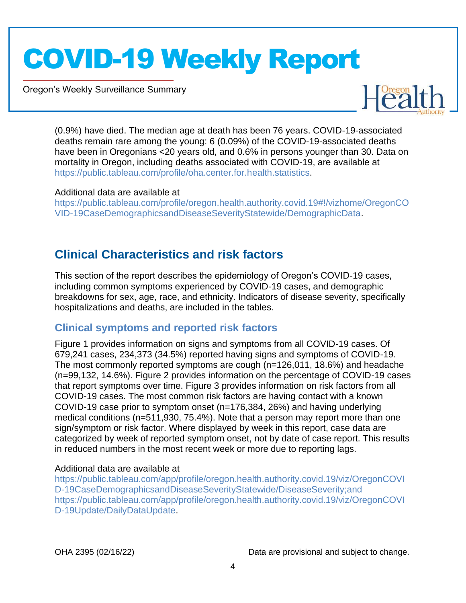Oregon's Weekly Surveillance Summary

Novel Coronavirus (COVID-19)



(0.9%) have died. The median age at death has been 76 years. COVID-19-associated deaths remain rare among the young: 6 (0.09%) of the COVID-19-associated deaths have been in Oregonians <20 years old, and 0.6% in persons younger than 30. Data on mortality in Oregon, including deaths associated with COVID-19, are available at [https://public.tableau.com/profile/oha.center.for.health.statistics.](https://public.tableau.com/profile/oha.center.for.health.statistics)

#### Additional data are available at

[https://public.tableau.com/profile/oregon.health.authority.covid.19#!/vizhome/OregonCO](https://public.tableau.com/profile/oregon.health.authority.covid.19#!/vizhome/OregonCOVID-19CaseDemographicsandDiseaseSeverityStatewide/DemographicData) [VID-19CaseDemographicsandDiseaseSeverityStatewide/DemographicData.](https://public.tableau.com/profile/oregon.health.authority.covid.19#!/vizhome/OregonCOVID-19CaseDemographicsandDiseaseSeverityStatewide/DemographicData)

## <span id="page-3-0"></span>**Clinical Characteristics and risk factors**

This section of the report describes the epidemiology of Oregon's COVID-19 cases, including common symptoms experienced by COVID-19 cases, and demographic breakdowns for sex, age, race, and ethnicity. Indicators of disease severity, specifically hospitalizations and deaths, are included in the tables.

### <span id="page-3-1"></span>**Clinical symptoms and reported risk factors**

Figure 1 provides information on signs and symptoms from all COVID-19 cases. Of 679,241 cases, 234,373 (34.5%) reported having signs and symptoms of COVID-19. The most commonly reported symptoms are cough (n=126,011, 18.6%) and headache (n=99,132, 14.6%). Figure 2 provides information on the percentage of COVID-19 cases that report symptoms over time. Figure 3 provides information on risk factors from all COVID-19 cases. The most common risk factors are having contact with a known COVID-19 case prior to symptom onset (n=176,384, 26%) and having underlying medical conditions (n=511,930, 75.4%). Note that a person may report more than one sign/symptom or risk factor. Where displayed by week in this report, case data are categorized by week of reported symptom onset, not by date of case report. This results in reduced numbers in the most recent week or more due to reporting lags.

### Additional data are available at

[https://public.tableau.com/app/profile/oregon.health.authority.covid.19/viz/OregonCOVI](https://public.tableau.com/app/profile/oregon.health.authority.covid.19/viz/OregonCOVID-19CaseDemographicsandDiseaseSeverityStatewide/DiseaseSeverity;and) [D-19CaseDemographicsandDiseaseSeverityStatewide/DiseaseSeverity;and](https://public.tableau.com/app/profile/oregon.health.authority.covid.19/viz/OregonCOVID-19CaseDemographicsandDiseaseSeverityStatewide/DiseaseSeverity;and) [https://public.tableau.com/app/profile/oregon.health.authority.covid.19/viz/OregonCOVI](https://public.tableau.com/app/profile/oregon.health.authority.covid.19/viz/OregonCOVID-19Update/DailyDataUpdate) [D-19Update/DailyDataUpdate.](https://public.tableau.com/app/profile/oregon.health.authority.covid.19/viz/OregonCOVID-19Update/DailyDataUpdate)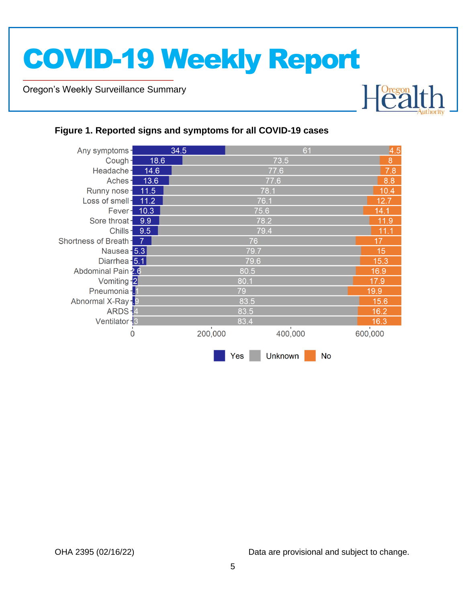Oregon's Weekly Surveillance Summary

Novel Coronavirus (COVID-19)



### <span id="page-4-0"></span>**Figure 1. Reported signs and symptoms for all COVID-19 cases**

| Any symptoms-           |      | 34.5    |      | 61             |           | 4.5     |  |  |
|-------------------------|------|---------|------|----------------|-----------|---------|--|--|
| Cough-                  | 18.6 |         |      | 73.5           |           | 8       |  |  |
| Headache-               | 14.6 |         | 77.6 |                |           |         |  |  |
| Aches-                  | 13.6 |         |      | 77.6           |           | 8.8     |  |  |
| Runny nose-             | 11.5 |         |      | 78.1           |           | 10.4    |  |  |
| Loss of smell-          | 11.2 |         |      | 76.1           |           | 12.7    |  |  |
| Fever - 10.3            |      |         | 75.6 |                |           | 14.1    |  |  |
| Sore throat-            | 9.9  |         |      | 78.2           |           | 11.9    |  |  |
| Chills-                 | 9.5  |         |      | 79.4           |           | 11.1    |  |  |
| Shortness of Breath -   |      |         | 76   |                |           | 17      |  |  |
| Nausea <sup>-</sup> 5.3 |      |         | 79.7 |                |           | 15      |  |  |
| Diarrhea - 5.1          |      |         | 79.6 |                |           |         |  |  |
| Abdominal Pain -2.6     |      |         | 80.5 |                |           |         |  |  |
| Vomiting -2             |      |         | 80.1 |                |           | 17.9    |  |  |
| Pneumonia - 1           |      |         | 79   |                |           |         |  |  |
| Abnormal X-Ray-9        |      |         | 83.5 |                |           | 15.6    |  |  |
| ARDS-4                  |      |         | 83.5 |                |           | 16.2    |  |  |
| Ventilator - 3          |      |         | 83.4 |                |           | 16.3    |  |  |
| $\overline{0}$          |      | 200,000 |      | 400,000        |           | 600,000 |  |  |
|                         |      |         | Yes  | <b>Unknown</b> | <b>No</b> |         |  |  |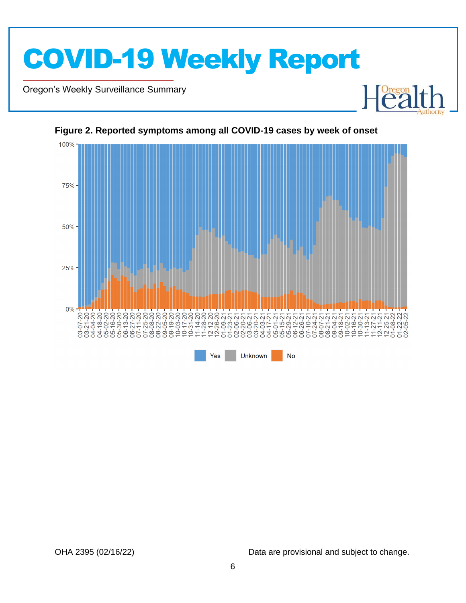

Oregon's Weekly Surveillance Summary

Novel Coronavirus (COVID-19)



<span id="page-5-0"></span>**Figure 2. Reported symptoms among all COVID-19 cases by week of onset**

OHA 2395 (02/16/22) Data are provisional and subject to change.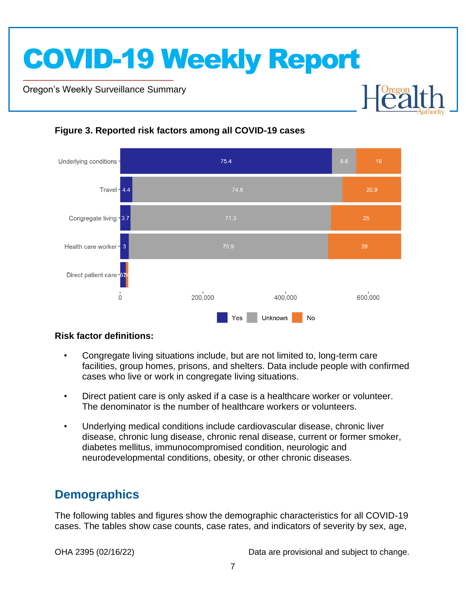Oregon's Weekly Surveillance Summary

Novel Coronavirus (COVID-19)



### <span id="page-6-0"></span>**Figure 3. Reported risk factors among all COVID-19 cases**

### **Risk factor definitions:**

- Congregate living situations include, but are not limited to, long-term care facilities, group homes, prisons, and shelters. Data include people with confirmed cases who live or work in congregate living situations.
- Direct patient care is only asked if a case is a healthcare worker or volunteer. The denominator is the number of healthcare workers or volunteers.
- Underlying medical conditions include cardiovascular disease, chronic liver disease, chronic lung disease, chronic renal disease, current or former smoker, diabetes mellitus, immunocompromised condition, neurologic and neurodevelopmental conditions, obesity, or other chronic diseases.

## <span id="page-6-1"></span>**Demographics**

The following tables and figures show the demographic characteristics for all COVID-19 cases. The tables show case counts, case rates, and indicators of severity by sex, age,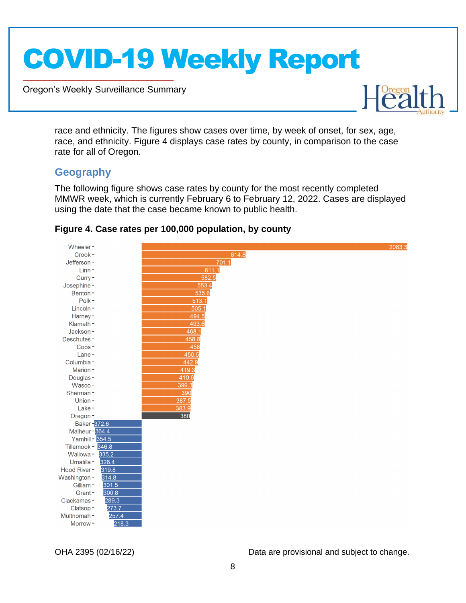Oregon's Weekly Surveillance Summary



race and ethnicity. The figures show cases over time, by week of onset, for sex, age, race, and ethnicity. Figure 4 displays case rates by county, in comparison to the case rate for all of Oregon.

### <span id="page-7-0"></span>**Geography**

Novel Coronavirus (COVID-19)

The following figure shows case rates by county for the most recently completed MMWR week, which is currently February 6 to February 12, 2022. Cases are displayed using the date that the case became known to public health.



### <span id="page-7-1"></span>**Figure 4. Case rates per 100,000 population, by county**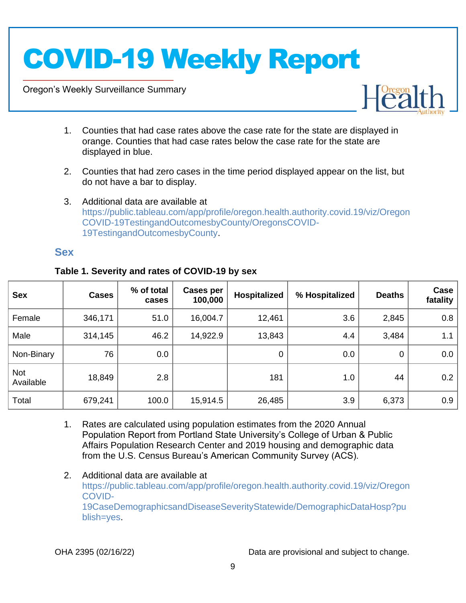Oregon's Weekly Surveillance Summary

Novel Coronavirus (COVID-19)



- 1. Counties that had case rates above the case rate for the state are displayed in orange. Counties that had case rates below the case rate for the state are displayed in blue.
- 2. Counties that had zero cases in the time period displayed appear on the list, but do not have a bar to display.
- 3. Additional data are available at [https://public.tableau.com/app/profile/oregon.health.authority.covid.19/viz/Oregon](https://public.tableau.com/app/profile/oregon.health.authority.covid.19/viz/OregonCOVID-19TestingandOutcomesbyCounty/OregonsCOVID-19TestingandOutcomesbyCounty) [COVID-19TestingandOutcomesbyCounty/OregonsCOVID-](https://public.tableau.com/app/profile/oregon.health.authority.covid.19/viz/OregonCOVID-19TestingandOutcomesbyCounty/OregonsCOVID-19TestingandOutcomesbyCounty)[19TestingandOutcomesbyCounty.](https://public.tableau.com/app/profile/oregon.health.authority.covid.19/viz/OregonCOVID-19TestingandOutcomesbyCounty/OregonsCOVID-19TestingandOutcomesbyCounty)

### <span id="page-8-0"></span>**Sex**

| <b>Sex</b>              | <b>Cases</b> | % of total<br>cases | Cases per<br>100,000 | Hospitalized | % Hospitalized | <b>Deaths</b> | Case<br>fatality |
|-------------------------|--------------|---------------------|----------------------|--------------|----------------|---------------|------------------|
| Female                  | 346,171      | 51.0                | 16,004.7             | 12,461       | 3.6            | 2,845         | 0.8              |
| Male                    | 314,145      | 46.2                | 14,922.9             | 13,843       | 4.4            | 3,484         | 1.1              |
| Non-Binary              | 76           | 0.0                 |                      | $\mathbf 0$  | 0.0            | $\mathbf 0$   | 0.0              |
| <b>Not</b><br>Available | 18,849       | 2.8                 |                      | 181          | 1.0            | 44            | 0.2              |
| Total                   | 679,241      | 100.0               | 15,914.5             | 26,485       | 3.9            | 6,373         | 0.9              |

### <span id="page-8-1"></span>**Table 1. Severity and rates of COVID-19 by sex**

- 1. Rates are calculated using population estimates from the 2020 Annual Population Report from Portland State University's College of Urban & Public Affairs Population Research Center and 2019 housing and demographic data from the U.S. Census Bureau's American Community Survey (ACS).
- 2. Additional data are available at [https://public.tableau.com/app/profile/oregon.health.authority.covid.19/viz/Oregon](https://public.tableau.com/app/profile/oregon.health.authority.covid.19/viz/OregonCOVID-19CaseDemographicsandDiseaseSeverityStatewide/DemographicDataHosp?publish=yes) [COVID-](https://public.tableau.com/app/profile/oregon.health.authority.covid.19/viz/OregonCOVID-19CaseDemographicsandDiseaseSeverityStatewide/DemographicDataHosp?publish=yes)[19CaseDemographicsandDiseaseSeverityStatewide/DemographicDataHosp?pu](https://public.tableau.com/app/profile/oregon.health.authority.covid.19/viz/OregonCOVID-19CaseDemographicsandDiseaseSeverityStatewide/DemographicDataHosp?publish=yes) [blish=yes.](https://public.tableau.com/app/profile/oregon.health.authority.covid.19/viz/OregonCOVID-19CaseDemographicsandDiseaseSeverityStatewide/DemographicDataHosp?publish=yes)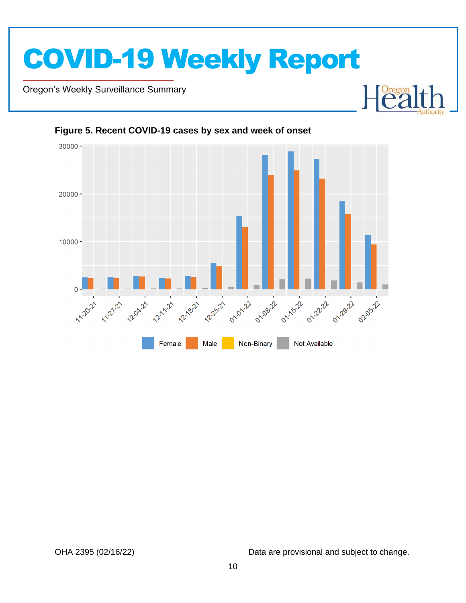

Oregon's Weekly Surveillance Summary

Novel Coronavirus (COVID-19)





#### <span id="page-9-0"></span>**Figure 5. Recent COVID-19 cases by sex and week of onset**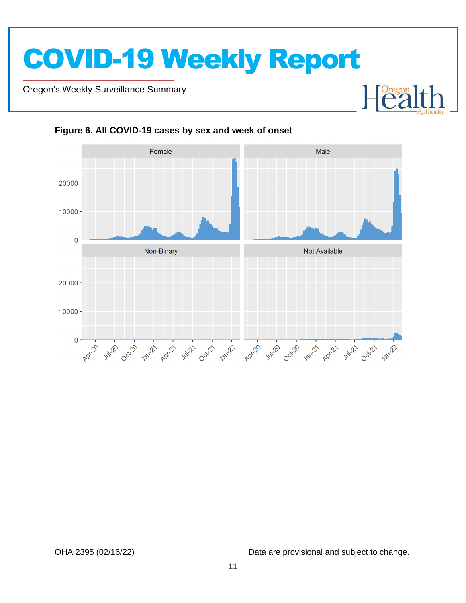Oregon's Weekly Surveillance Summary

Novel Coronavirus (COVID-19)



<span id="page-10-0"></span>**Figure 6. All COVID-19 cases by sex and week of onset**

OHA 2395 (02/16/22) Data are provisional and subject to change.

 $\begin{bmatrix} \text{Oregon} \\ \text{C2} \end{bmatrix}$ 

┠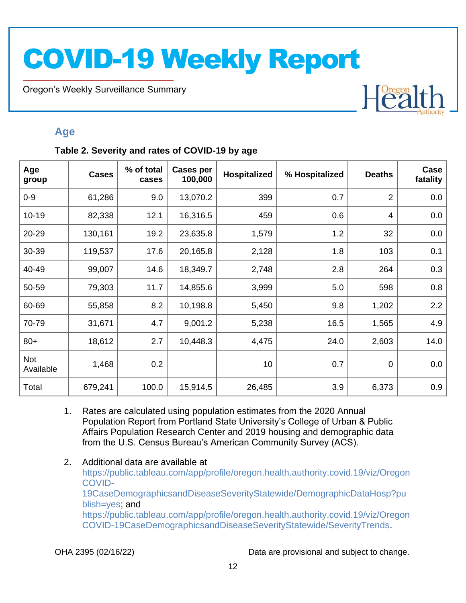Oregon's Weekly Surveillance Summary

Novel Coronavirus (COVID-19)

# Heal

### <span id="page-11-0"></span>**Age**

### <span id="page-11-1"></span>**Table 2. Severity and rates of COVID-19 by age**

| Age<br>group     | <b>Cases</b> | % of total<br>cases | <b>Cases per</b><br>100,000 | <b>Hospitalized</b> | % Hospitalized | <b>Deaths</b>  | Case<br>fatality |
|------------------|--------------|---------------------|-----------------------------|---------------------|----------------|----------------|------------------|
| $0 - 9$          | 61,286       | 9.0                 | 13,070.2                    | 399                 | 0.7            | $\overline{2}$ | 0.0              |
| $10-19$          | 82,338       | 12.1                | 16,316.5                    | 459                 | 0.6            | 4              | 0.0              |
| 20-29            | 130,161      | 19.2                | 23,635.8                    | 1,579               | 1.2            | 32             | 0.0              |
| 30-39            | 119,537      | 17.6                | 20,165.8                    | 2,128               | 1.8            | 103            | 0.1              |
| 40-49            | 99,007       | 14.6                | 18,349.7                    | 2,748               | 2.8            | 264            | 0.3              |
| 50-59            | 79,303       | 11.7                | 14,855.6                    | 3,999               | 5.0            | 598            | 0.8              |
| 60-69            | 55,858       | 8.2                 | 10,198.8                    | 5,450               | 9.8            | 1,202          | 2.2              |
| 70-79            | 31,671       | 4.7                 | 9,001.2                     | 5,238               | 16.5           | 1,565          | 4.9              |
| $80+$            | 18,612       | 2.7                 | 10,448.3                    | 4,475               | 24.0           | 2,603          | 14.0             |
| Not<br>Available | 1,468        | 0.2                 |                             | 10                  | 0.7            | $\mathbf 0$    | 0.0              |
| Total            | 679,241      | 100.0               | 15,914.5                    | 26,485              | 3.9            | 6,373          | 0.9              |

- 1. Rates are calculated using population estimates from the 2020 Annual Population Report from Portland State University's College of Urban & Public Affairs Population Research Center and 2019 housing and demographic data from the U.S. Census Bureau's American Community Survey (ACS).
- 2. Additional data are available at [https://public.tableau.com/app/profile/oregon.health.authority.covid.19/viz/Oregon](https://public.tableau.com/app/profile/oregon.health.authority.covid.19/viz/OregonCOVID-19CaseDemographicsandDiseaseSeverityStatewide/DemographicDataHosp?publish=yes) [COVID-](https://public.tableau.com/app/profile/oregon.health.authority.covid.19/viz/OregonCOVID-19CaseDemographicsandDiseaseSeverityStatewide/DemographicDataHosp?publish=yes)[19CaseDemographicsandDiseaseSeverityStatewide/DemographicDataHosp?pu](https://public.tableau.com/app/profile/oregon.health.authority.covid.19/viz/OregonCOVID-19CaseDemographicsandDiseaseSeverityStatewide/DemographicDataHosp?publish=yes) [blish=yes;](https://public.tableau.com/app/profile/oregon.health.authority.covid.19/viz/OregonCOVID-19CaseDemographicsandDiseaseSeverityStatewide/DemographicDataHosp?publish=yes) and [https://public.tableau.com/app/profile/oregon.health.authority.covid.19/viz/Oregon](https://public.tableau.com/app/profile/oregon.health.authority.covid.19/viz/OregonCOVID-19CaseDemographicsandDiseaseSeverityStatewide/SeverityTrends) [COVID-19CaseDemographicsandDiseaseSeverityStatewide/SeverityTrends.](https://public.tableau.com/app/profile/oregon.health.authority.covid.19/viz/OregonCOVID-19CaseDemographicsandDiseaseSeverityStatewide/SeverityTrends)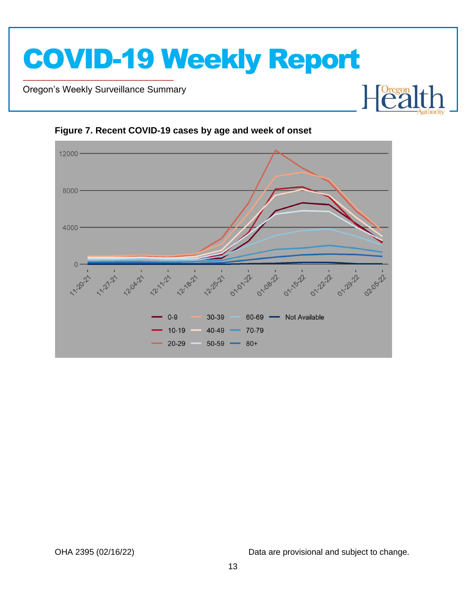

Oregon's Weekly Surveillance Summary

Novel Coronavirus (COVID-19)



<span id="page-12-0"></span>**Figure 7. Recent COVID-19 cases by age and week of onset**

OHA 2395 (02/16/22) Data are provisional and subject to change.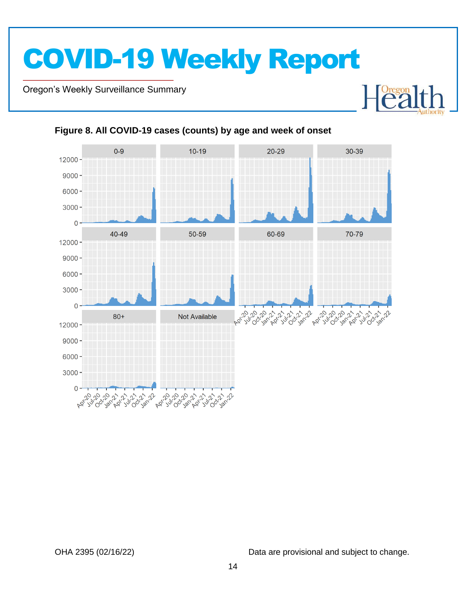Oregon's Weekly Surveillance Summary

Novel Coronavirus (COVID-19)



### <span id="page-13-0"></span>**Figure 8. All COVID-19 cases (counts) by age and week of onset**

OHA 2395 (02/16/22) Data are provisional and subject to change.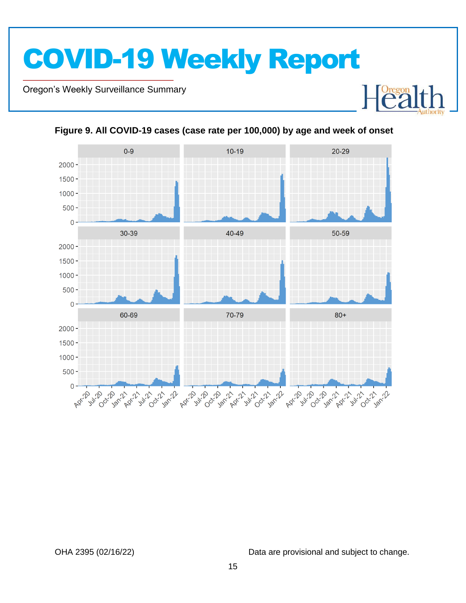Oregon's Weekly Surveillance Summary

Novel Coronavirus (COVID-19)



<span id="page-14-0"></span>**Figure 9. All COVID-19 cases (case rate per 100,000) by age and week of onset**

OHA 2395 (02/16/22) Data are provisional and subject to change.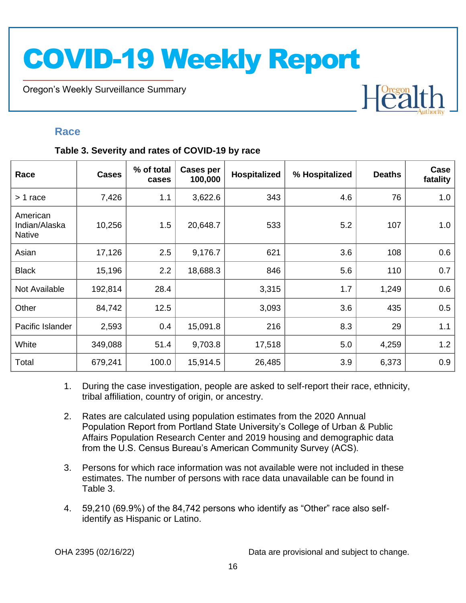Oregon's Weekly Surveillance Summary

# Heal

### <span id="page-15-0"></span>**Race**

Novel Coronavirus (COVID-19)

### <span id="page-15-1"></span>**Table 3. Severity and rates of COVID-19 by race**

| Race                                       | <b>Cases</b> | % of total<br>cases | <b>Cases per</b><br>100,000 | Hospitalized | % Hospitalized | <b>Deaths</b> | Case<br>fatality |
|--------------------------------------------|--------------|---------------------|-----------------------------|--------------|----------------|---------------|------------------|
| > 1 race                                   | 7,426        | 1.1                 | 3,622.6                     | 343          | 4.6            | 76            | 1.0              |
| American<br>Indian/Alaska<br><b>Native</b> | 10,256       | 1.5                 | 20,648.7                    | 533          | 5.2            | 107           | 1.0              |
| Asian                                      | 17,126       | 2.5                 | 9,176.7                     | 621          | 3.6            | 108           | 0.6              |
| <b>Black</b>                               | 15,196       | 2.2                 | 18,688.3                    | 846          | 5.6            | 110           | 0.7              |
| Not Available                              | 192,814      | 28.4                |                             | 3,315        | 1.7            | 1,249         | 0.6              |
| Other                                      | 84,742       | 12.5                |                             | 3,093        | 3.6            | 435           | 0.5              |
| Pacific Islander                           | 2,593        | 0.4                 | 15,091.8                    | 216          | 8.3            | 29            | 1.1              |
| White                                      | 349,088      | 51.4                | 9,703.8                     | 17,518       | 5.0            | 4,259         | 1.2              |
| Total                                      | 679,241      | 100.0               | 15,914.5                    | 26,485       | 3.9            | 6,373         | 0.9              |

- 1. During the case investigation, people are asked to self-report their race, ethnicity, tribal affiliation, country of origin, or ancestry.
- 2. Rates are calculated using population estimates from the 2020 Annual Population Report from Portland State University's College of Urban & Public Affairs Population Research Center and 2019 housing and demographic data from the U.S. Census Bureau's American Community Survey (ACS).
- 3. Persons for which race information was not available were not included in these estimates. The number of persons with race data unavailable can be found in Table 3.
- 4. 59,210 (69.9%) of the 84,742 persons who identify as "Other" race also selfidentify as Hispanic or Latino.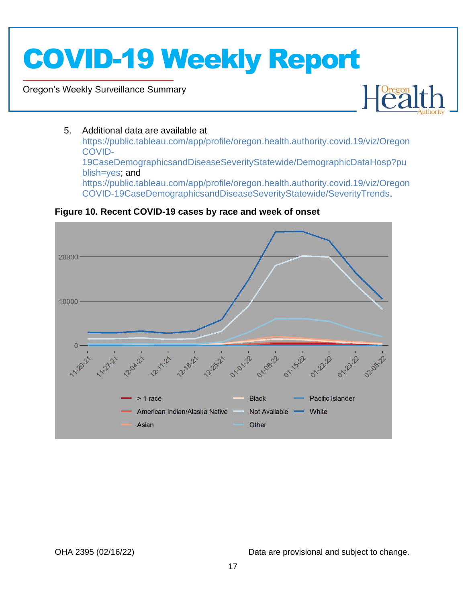Oregon's Weekly Surveillance Summary

Novel Coronavirus (COVID-19)



### 5. Additional data are available at

[https://public.tableau.com/app/profile/oregon.health.authority.covid.19/viz/Oregon](https://public.tableau.com/app/profile/oregon.health.authority.covid.19/viz/OregonCOVID-19CaseDemographicsandDiseaseSeverityStatewide/DemographicDataHosp?publish=yes) [COVID-](https://public.tableau.com/app/profile/oregon.health.authority.covid.19/viz/OregonCOVID-19CaseDemographicsandDiseaseSeverityStatewide/DemographicDataHosp?publish=yes)[19CaseDemographicsandDiseaseSeverityStatewide/DemographicDataHosp?pu](https://public.tableau.com/app/profile/oregon.health.authority.covid.19/viz/OregonCOVID-19CaseDemographicsandDiseaseSeverityStatewide/DemographicDataHosp?publish=yes) [blish=yes;](https://public.tableau.com/app/profile/oregon.health.authority.covid.19/viz/OregonCOVID-19CaseDemographicsandDiseaseSeverityStatewide/DemographicDataHosp?publish=yes) and [https://public.tableau.com/app/profile/oregon.health.authority.covid.19/viz/Oregon](https://public.tableau.com/app/profile/oregon.health.authority.covid.19/viz/OregonCOVID-19CaseDemographicsandDiseaseSeverityStatewide/SeverityTrends) [COVID-19CaseDemographicsandDiseaseSeverityStatewide/SeverityTrends.](https://public.tableau.com/app/profile/oregon.health.authority.covid.19/viz/OregonCOVID-19CaseDemographicsandDiseaseSeverityStatewide/SeverityTrends)

<span id="page-16-0"></span>**Figure 10. Recent COVID-19 cases by race and week of onset**

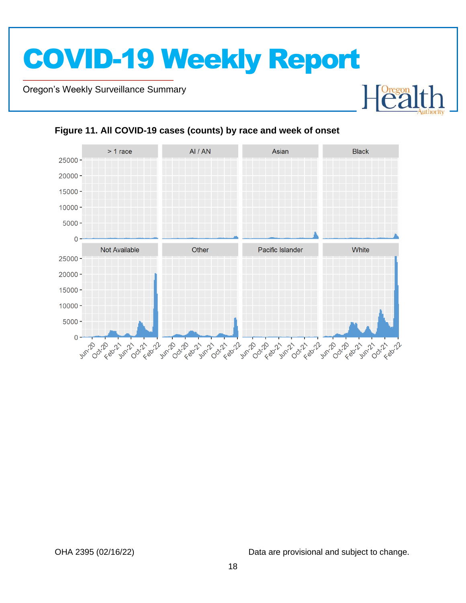Oregon's Weekly Surveillance Summary

Novel Coronavirus (COVID-19)



#### <span id="page-17-0"></span>**Figure 11. All COVID-19 cases (counts) by race and week of onset**

OHA 2395 (02/16/22) Data are provisional and subject to change.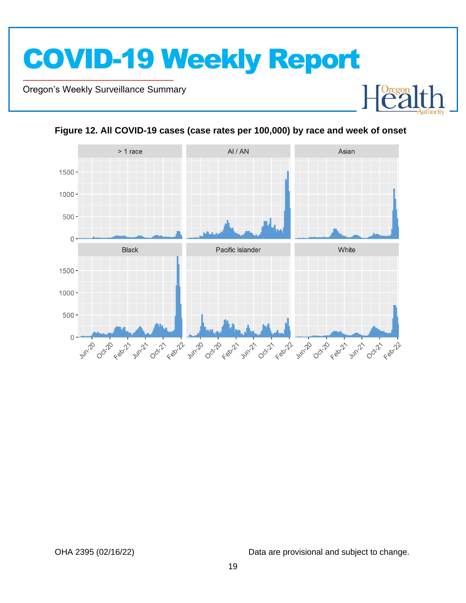Oregon's Weekly Surveillance Summary

Novel Coronavirus (COVID-19)





<span id="page-18-0"></span>**Figure 12. All COVID-19 cases (case rates per 100,000) by race and week of onset**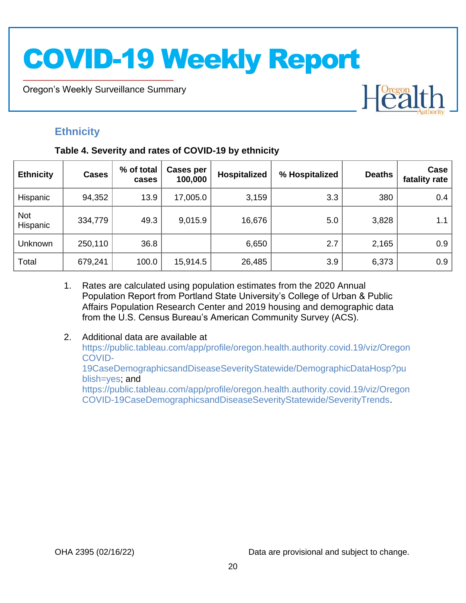Oregon's Weekly Surveillance Summary

# Heal

## <span id="page-19-0"></span>**Ethnicity**

Novel Coronavirus (COVID-19)

### <span id="page-19-1"></span>**Table 4. Severity and rates of COVID-19 by ethnicity**

| <b>Ethnicity</b>       | <b>Cases</b> | % of total<br>cases | Cases per<br>100,000 | Hospitalized | % Hospitalized | <b>Deaths</b> | Case<br>fatality rate |
|------------------------|--------------|---------------------|----------------------|--------------|----------------|---------------|-----------------------|
| Hispanic               | 94,352       | 13.9                | 17,005.0             | 3,159        | 3.3            | 380           | 0.4                   |
| <b>Not</b><br>Hispanic | 334,779      | 49.3                | 9,015.9              | 16,676       | 5.0            | 3,828         | 1.1                   |
| Unknown                | 250,110      | 36.8                |                      | 6,650        | 2.7            | 2,165         | 0.9                   |
| Total                  | 679,241      | 100.0               | 15,914.5             | 26,485       | 3.9            | 6,373         | 0.9                   |

- 1. Rates are calculated using population estimates from the 2020 Annual Population Report from Portland State University's College of Urban & Public Affairs Population Research Center and 2019 housing and demographic data from the U.S. Census Bureau's American Community Survey (ACS).
- 2. Additional data are available at [https://public.tableau.com/app/profile/oregon.health.authority.covid.19/viz/Oregon](https://public.tableau.com/app/profile/oregon.health.authority.covid.19/viz/OregonCOVID-19CaseDemographicsandDiseaseSeverityStatewide/DemographicDataHosp?publish=yes) [COVID-](https://public.tableau.com/app/profile/oregon.health.authority.covid.19/viz/OregonCOVID-19CaseDemographicsandDiseaseSeverityStatewide/DemographicDataHosp?publish=yes)[19CaseDemographicsandDiseaseSeverityStatewide/DemographicDataHosp?pu](https://public.tableau.com/app/profile/oregon.health.authority.covid.19/viz/OregonCOVID-19CaseDemographicsandDiseaseSeverityStatewide/DemographicDataHosp?publish=yes) [blish=yes;](https://public.tableau.com/app/profile/oregon.health.authority.covid.19/viz/OregonCOVID-19CaseDemographicsandDiseaseSeverityStatewide/DemographicDataHosp?publish=yes) and [https://public.tableau.com/app/profile/oregon.health.authority.covid.19/viz/Oregon](https://public.tableau.com/app/profile/oregon.health.authority.covid.19/viz/OregonCOVID-19CaseDemographicsandDiseaseSeverityStatewide/SeverityTrends) [COVID-19CaseDemographicsandDiseaseSeverityStatewide/SeverityTrends.](https://public.tableau.com/app/profile/oregon.health.authority.covid.19/viz/OregonCOVID-19CaseDemographicsandDiseaseSeverityStatewide/SeverityTrends)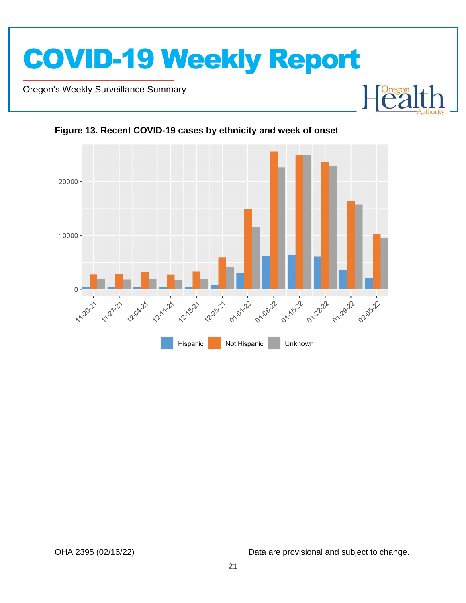

Oregon's Weekly Surveillance Summary

Novel Coronavirus (COVID-19)





<span id="page-20-0"></span>**Figure 13. Recent COVID-19 cases by ethnicity and week of onset**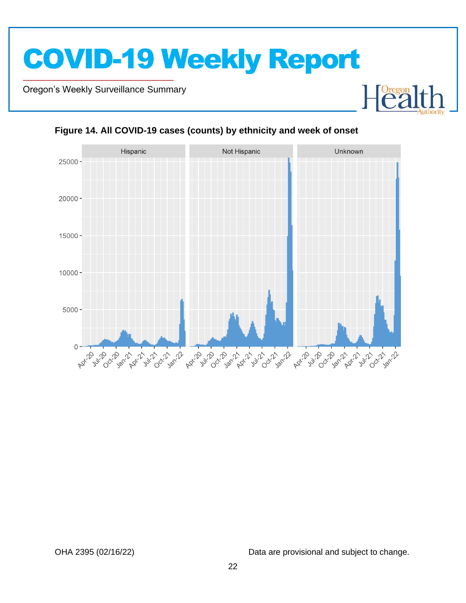Oregon's Weekly Surveillance Summary

Novel Coronavirus (COVID-19)



### <span id="page-21-0"></span>**Figure 14. All COVID-19 cases (counts) by ethnicity and week of onset**

OHA 2395 (02/16/22) Data are provisional and subject to change.

Foregon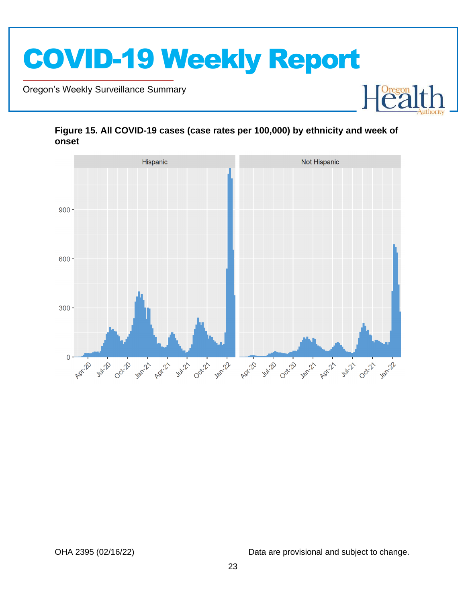

Oregon's Weekly Surveillance Summary

Novel Coronavirus (COVID-19)



### <span id="page-22-0"></span>**Figure 15. All COVID-19 cases (case rates per 100,000) by ethnicity and week of onset**

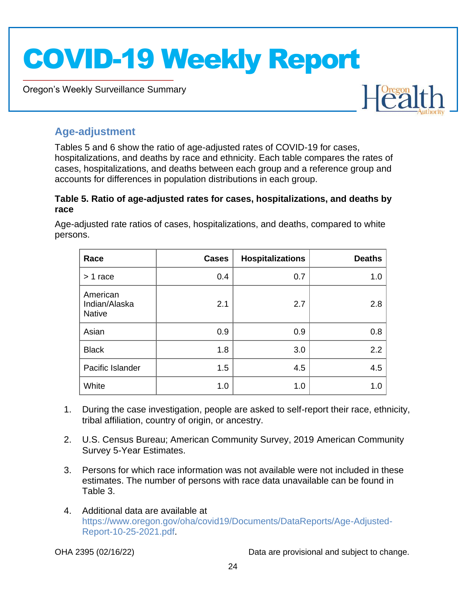Oregon's Weekly Surveillance Summary



### <span id="page-23-0"></span>**Age-adjustment**

Novel Coronavirus (COVID-19)

Tables 5 and 6 show the ratio of age-adjusted rates of COVID-19 for cases, hospitalizations, and deaths by race and ethnicity. Each table compares the rates of cases, hospitalizations, and deaths between each group and a reference group and accounts for differences in population distributions in each group.

### <span id="page-23-1"></span>**Table 5. Ratio of age-adjusted rates for cases, hospitalizations, and deaths by race**

Age-adjusted rate ratios of cases, hospitalizations, and deaths, compared to white persons.

| Race                                       | <b>Cases</b> | <b>Hospitalizations</b> | <b>Deaths</b> |
|--------------------------------------------|--------------|-------------------------|---------------|
| $> 1$ race                                 | 0.4          | 0.7                     | 1.0           |
| American<br>Indian/Alaska<br><b>Native</b> | 2.1          | 2.7                     | 2.8           |
| Asian                                      | 0.9          | 0.9                     | 0.8           |
| <b>Black</b>                               | 1.8          | 3.0                     | 2.2           |
| Pacific Islander                           | 1.5          | 4.5                     | 4.5           |
| White                                      | 1.0          | 1.0                     | 1.0           |

- 1. During the case investigation, people are asked to self-report their race, ethnicity, tribal affiliation, country of origin, or ancestry.
- 2. U.S. Census Bureau; American Community Survey, 2019 American Community Survey 5-Year Estimates.
- 3. Persons for which race information was not available were not included in these estimates. The number of persons with race data unavailable can be found in Table 3.
- 4. Additional data are available at [https://www.oregon.gov/oha/covid19/Documents/DataReports/Age-Adjusted-](https://www.oregon.gov/oha/covid19/Documents/DataReports/Age-Adjusted-Report-10-25-2021.pdf)[Report-10-25-2021.pdf.](https://www.oregon.gov/oha/covid19/Documents/DataReports/Age-Adjusted-Report-10-25-2021.pdf)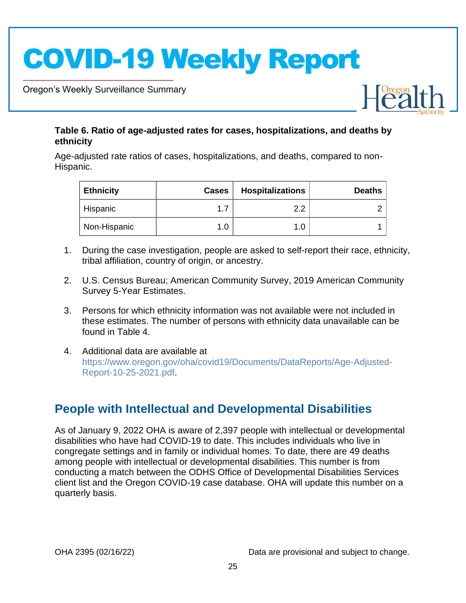Oregon's Weekly Surveillance Summary

Novel Coronavirus (COVID-19)



### <span id="page-24-0"></span>**Table 6. Ratio of age-adjusted rates for cases, hospitalizations, and deaths by ethnicity**

Age-adjusted rate ratios of cases, hospitalizations, and deaths, compared to non-Hispanic.

| <b>Ethnicity</b> | <b>Cases</b> | <b>Hospitalizations</b> | <b>Deaths</b> |
|------------------|--------------|-------------------------|---------------|
| Hispanic         |              | റ റ                     |               |
| Non-Hispanic     |              | 1.0                     |               |

- 1. During the case investigation, people are asked to self-report their race, ethnicity, tribal affiliation, country of origin, or ancestry.
- 2. U.S. Census Bureau; American Community Survey, 2019 American Community Survey 5-Year Estimates.
- 3. Persons for which ethnicity information was not available were not included in these estimates. The number of persons with ethnicity data unavailable can be found in Table 4.
- 4. Additional data are available at [https://www.oregon.gov/oha/covid19/Documents/DataReports/Age-Adjusted-](https://www.oregon.gov/oha/covid19/Documents/DataReports/Age-Adjusted-Report-10-25-2021.pdf)[Report-10-25-2021.pdf.](https://www.oregon.gov/oha/covid19/Documents/DataReports/Age-Adjusted-Report-10-25-2021.pdf)

## <span id="page-24-1"></span>**People with Intellectual and Developmental Disabilities**

As of January 9, 2022 OHA is aware of 2,397 people with intellectual or developmental disabilities who have had COVID-19 to date. This includes individuals who live in congregate settings and in family or individual homes. To date, there are 49 deaths among people with intellectual or developmental disabilities. This number is from conducting a match between the ODHS Office of Developmental Disabilities Services client list and the Oregon COVID-19 case database. OHA will update this number on a quarterly basis.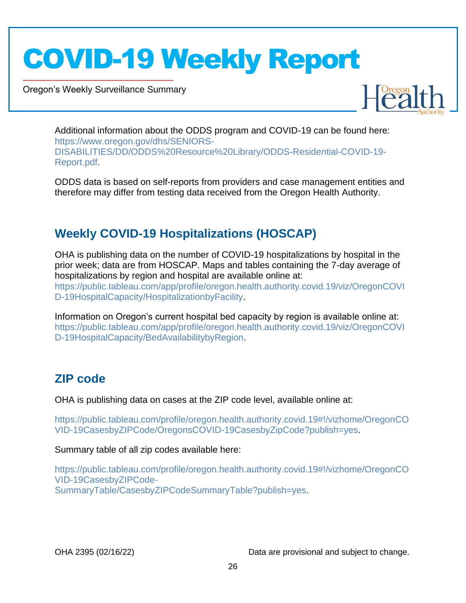Oregon's Weekly Surveillance Summary

Novel Coronavirus (COVID-19)



Additional information about the ODDS program and COVID-19 can be found here: [https://www.oregon.gov/dhs/SENIORS-](https://www.oregon.gov/dhs/SENIORS-DISABILITIES/DD/ODDS%20Resource%20Library/ODDS-Residential-COVID-19-Report.pdf)[DISABILITIES/DD/ODDS%20Resource%20Library/ODDS-Residential-COVID-19-](https://www.oregon.gov/dhs/SENIORS-DISABILITIES/DD/ODDS%20Resource%20Library/ODDS-Residential-COVID-19-Report.pdf) [Report.pdf.](https://www.oregon.gov/dhs/SENIORS-DISABILITIES/DD/ODDS%20Resource%20Library/ODDS-Residential-COVID-19-Report.pdf)

ODDS data is based on self-reports from providers and case management entities and therefore may differ from testing data received from the Oregon Health Authority.

## <span id="page-25-0"></span>**Weekly COVID-19 Hospitalizations (HOSCAP)**

OHA is publishing data on the number of COVID-19 hospitalizations by hospital in the prior week; data are from HOSCAP. Maps and tables containing the 7-day average of hospitalizations by region and hospital are available online at: [https://public.tableau.com/app/profile/oregon.health.authority.covid.19/viz/OregonCOVI](https://public.tableau.com/app/profile/oregon.health.authority.covid.19/viz/OregonCOVID-19HospitalCapacity/HospitalizationbyFacility) [D-19HospitalCapacity/HospitalizationbyFacility.](https://public.tableau.com/app/profile/oregon.health.authority.covid.19/viz/OregonCOVID-19HospitalCapacity/HospitalizationbyFacility)

Information on Oregon's current hospital bed capacity by region is available online at: [https://public.tableau.com/app/profile/oregon.health.authority.covid.19/viz/OregonCOVI](https://public.tableau.com/app/profile/oregon.health.authority.covid.19/viz/OregonCOVID-19HospitalCapacity/BedAvailabilitybyRegion) [D-19HospitalCapacity/BedAvailabilitybyRegion.](https://public.tableau.com/app/profile/oregon.health.authority.covid.19/viz/OregonCOVID-19HospitalCapacity/BedAvailabilitybyRegion)

## <span id="page-25-1"></span>**ZIP code**

OHA is publishing data on cases at the ZIP code level, available online at:

[https://public.tableau.com/profile/oregon.health.authority.covid.19#!/vizhome/OregonCO](https://public.tableau.com/profile/oregon.health.authority.covid.19#!/vizhome/OregonCOVID-19CasesbyZIPCode/OregonsCOVID-19CasesbyZipCode?publish=yes) [VID-19CasesbyZIPCode/OregonsCOVID-19CasesbyZipCode?publish=yes.](https://public.tableau.com/profile/oregon.health.authority.covid.19#!/vizhome/OregonCOVID-19CasesbyZIPCode/OregonsCOVID-19CasesbyZipCode?publish=yes)

Summary table of all zip codes available here:

[https://public.tableau.com/profile/oregon.health.authority.covid.19#!/vizhome/OregonCO](https://public.tableau.com/profile/oregon.health.authority.covid.19#!/vizhome/OregonCOVID-19CasesbyZIPCode-SummaryTable/CasesbyZIPCodeSummaryTable?publish=yes) [VID-19CasesbyZIPCode-](https://public.tableau.com/profile/oregon.health.authority.covid.19#!/vizhome/OregonCOVID-19CasesbyZIPCode-SummaryTable/CasesbyZIPCodeSummaryTable?publish=yes)[SummaryTable/CasesbyZIPCodeSummaryTable?publish=yes.](https://public.tableau.com/profile/oregon.health.authority.covid.19#!/vizhome/OregonCOVID-19CasesbyZIPCode-SummaryTable/CasesbyZIPCodeSummaryTable?publish=yes)